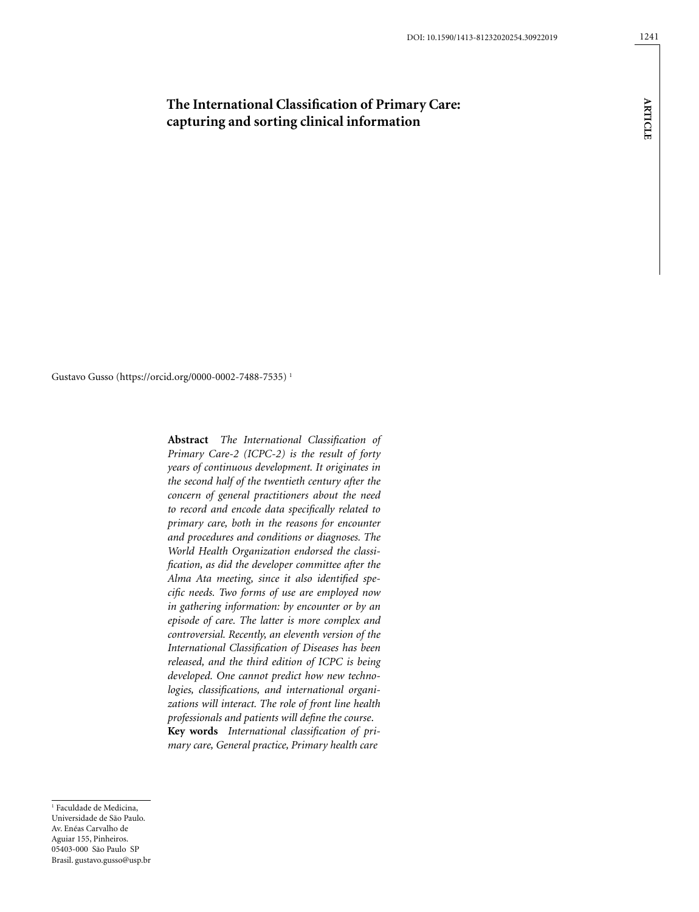# **The International Classification of Primary Care: capturing and sorting clinical information**

Gustavo Gusso (https://orcid.org/0000-0002-7488-7535) 1

**Abstract** *The International Classification of Primary Care-2 (ICPC-2) is the result of forty years of continuous development. It originates in the second half of the twentieth century after the concern of general practitioners about the need to record and encode data specifically related to primary care, both in the reasons for encounter and procedures and conditions or diagnoses. The World Health Organization endorsed the classification, as did the developer committee after the Alma Ata meeting, since it also identified specific needs. Two forms of use are employed now in gathering information: by encounter or by an episode of care. The latter is more complex and controversial. Recently, an eleventh version of the International Classification of Diseases has been released, and the third edition of ICPC is being developed. One cannot predict how new technologies, classifications, and international organizations will interact. The role of front line health professionals and patients will define the course*. **Key words** *International classification of primary care, General practice, Primary health care*

1 Faculdade de Medicina, Universidade de São Paulo. Av. Enéas Carvalho de Aguiar 155, Pinheiros. 05403-000 São Paulo SP Brasil. gustavo.gusso@usp.br **ARTICLE Article**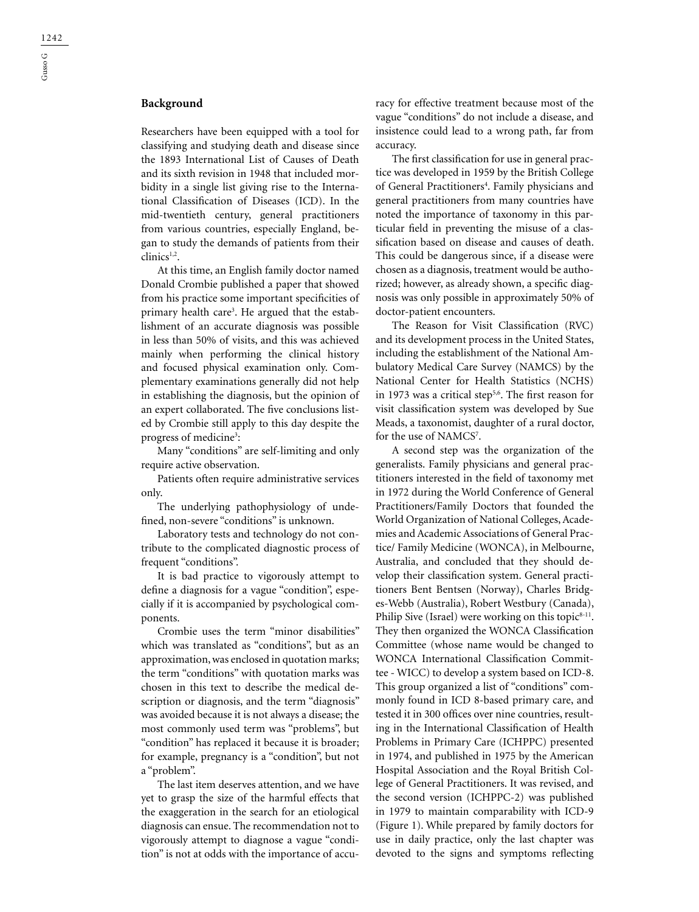## **Background**

Researchers have been equipped with a tool for classifying and studying death and disease since the 1893 International List of Causes of Death and its sixth revision in 1948 that included morbidity in a single list giving rise to the International Classification of Diseases (ICD). In the mid-twentieth century, general practitioners from various countries, especially England, began to study the demands of patients from their clinics<sup>1,2</sup>.

At this time, an English family doctor named Donald Crombie published a paper that showed from his practice some important specificities of primary health care<sup>3</sup>. He argued that the establishment of an accurate diagnosis was possible in less than 50% of visits, and this was achieved mainly when performing the clinical history and focused physical examination only. Complementary examinations generally did not help in establishing the diagnosis, but the opinion of an expert collaborated. The five conclusions listed by Crombie still apply to this day despite the progress of medicine<sup>3</sup>:

Many "conditions" are self-limiting and only require active observation.

Patients often require administrative services only.

The underlying pathophysiology of undefined, non-severe "conditions" is unknown.

Laboratory tests and technology do not contribute to the complicated diagnostic process of frequent "conditions".

It is bad practice to vigorously attempt to define a diagnosis for a vague "condition", especially if it is accompanied by psychological components.

Crombie uses the term "minor disabilities" which was translated as "conditions", but as an approximation, was enclosed in quotation marks; the term "conditions" with quotation marks was chosen in this text to describe the medical description or diagnosis, and the term "diagnosis" was avoided because it is not always a disease; the most commonly used term was "problems", but "condition" has replaced it because it is broader; for example, pregnancy is a "condition", but not a "problem".

The last item deserves attention, and we have yet to grasp the size of the harmful effects that the exaggeration in the search for an etiological diagnosis can ensue. The recommendation not to vigorously attempt to diagnose a vague "condition" is not at odds with the importance of accuracy for effective treatment because most of the vague "conditions" do not include a disease, and insistence could lead to a wrong path, far from accuracy.

The first classification for use in general practice was developed in 1959 by the British College of General Practitioners<sup>4</sup>. Family physicians and general practitioners from many countries have noted the importance of taxonomy in this particular field in preventing the misuse of a classification based on disease and causes of death. This could be dangerous since, if a disease were chosen as a diagnosis, treatment would be authorized; however, as already shown, a specific diagnosis was only possible in approximately 50% of doctor-patient encounters.

The Reason for Visit Classification (RVC) and its development process in the United States, including the establishment of the National Ambulatory Medical Care Survey (NAMCS) by the National Center for Health Statistics (NCHS) in 1973 was a critical step<sup>5,6</sup>. The first reason for visit classification system was developed by Sue Meads, a taxonomist, daughter of a rural doctor, for the use of NAMCS<sup>7</sup>.

A second step was the organization of the generalists. Family physicians and general practitioners interested in the field of taxonomy met in 1972 during the World Conference of General Practitioners/Family Doctors that founded the World Organization of National Colleges, Academies and Academic Associations of General Practice/ Family Medicine (WONCA), in Melbourne, Australia, and concluded that they should develop their classification system. General practitioners Bent Bentsen (Norway), Charles Bridges-Webb (Australia), Robert Westbury (Canada), Philip Sive (Israel) were working on this topic<sup>8-11</sup>. They then organized the WONCA Classification Committee (whose name would be changed to WONCA International Classification Committee - WICC) to develop a system based on ICD-8. This group organized a list of "conditions" commonly found in ICD 8-based primary care, and tested it in 300 offices over nine countries, resulting in the International Classification of Health Problems in Primary Care (ICHPPC) presented in 1974, and published in 1975 by the American Hospital Association and the Royal British College of General Practitioners. It was revised, and the second version (ICHPPC-2) was published in 1979 to maintain comparability with ICD-9 (Figure 1). While prepared by family doctors for use in daily practice, only the last chapter was devoted to the signs and symptoms reflecting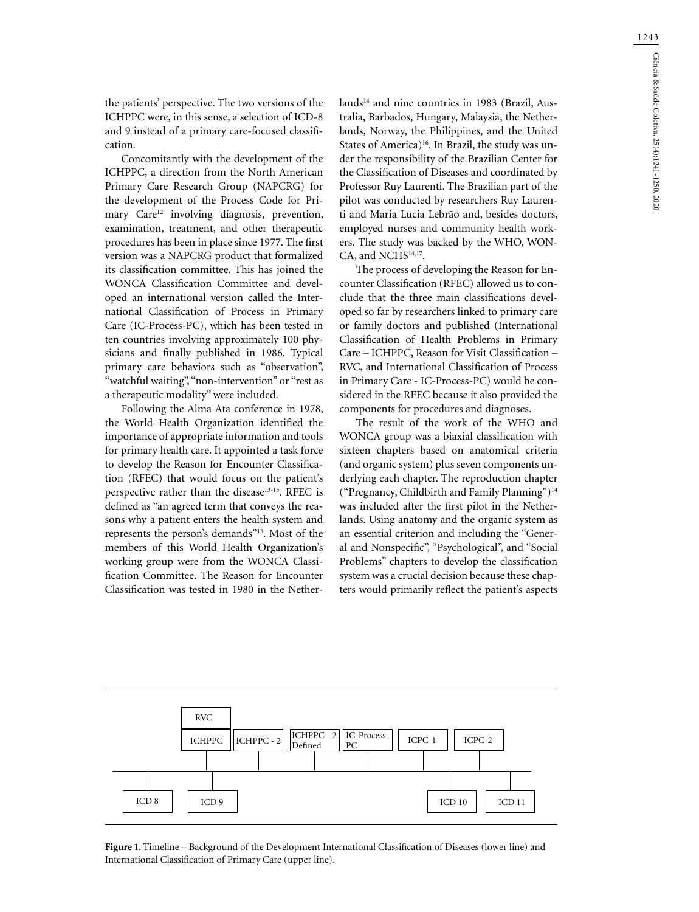the patients' perspective. The two versions of the ICHPPC were, in this sense, a selection of ICD-8 and 9 instead of a primary care-focused classification.

Concomitantly with the development of the ICHPPC, a direction from the North American Primary Care Research Group (NAPCRG) for the development of the Process Code for Primary Care<sup>12</sup> involving diagnosis, prevention, examination, treatment, and other therapeutic procedures has been in place since 1977. The first version was a NAPCRG product that formalized its classification committee. This has joined the WONCA Classification Committee and developed an international version called the International Classification of Process in Primary Care (IC-Process-PC), which has been tested in ten countries involving approximately 100 physicians and finally published in 1986. Typical primary care behaviors such as "observation", "watchful waiting", "non-intervention" or "rest as a therapeutic modality" were included.

Following the Alma Ata conference in 1978, the World Health Organization identified the importance of appropriate information and tools for primary health care. It appointed a task force to develop the Reason for Encounter Classification (RFEC) that would focus on the patient's perspective rather than the disease<sup>13-15</sup>. RFEC is defined as "an agreed term that conveys the reasons why a patient enters the health system and represents the person's demands"13. Most of the members of this World Health Organization's working group were from the WONCA Classification Committee. The Reason for Encounter Classification was tested in 1980 in the Netherlands<sup>14</sup> and nine countries in 1983 (Brazil, Australia, Barbados, Hungary, Malaysia, the Netherlands, Norway, the Philippines, and the United States of America)<sup>16</sup>. In Brazil, the study was under the responsibility of the Brazilian Center for the Classification of Diseases and coordinated by Professor Ruy Laurenti. The Brazilian part of the pilot was conducted by researchers Ruy Laurenti and Maria Lucia Lebrão and, besides doctors, employed nurses and community health workers. The study was backed by the WHO, WON-CA, and NCHS<sup>14,17</sup>.

The process of developing the Reason for Encounter Classification (RFEC) allowed us to conclude that the three main classifications developed so far by researchers linked to primary care or family doctors and published (International Classification of Health Problems in Primary Care – ICHPPC, Reason for Visit Classification – RVC, and International Classification of Process in Primary Care - IC-Process-PC) would be considered in the RFEC because it also provided the components for procedures and diagnoses.

The result of the work of the WHO and WONCA group was a biaxial classification with sixteen chapters based on anatomical criteria (and organic system) plus seven components underlying each chapter. The reproduction chapter ("Pregnancy, Childbirth and Family Planning")14 was included after the first pilot in the Netherlands. Using anatomy and the organic system as an essential criterion and including the "General and Nonspecific", "Psychological", and "Social Problems" chapters to develop the classification system was a crucial decision because these chapters would primarily reflect the patient's aspects



**Figure 1.** Timeline – Background of the Development International Classification of Diseases (lower line) and International Classification of Primary Care (upper line).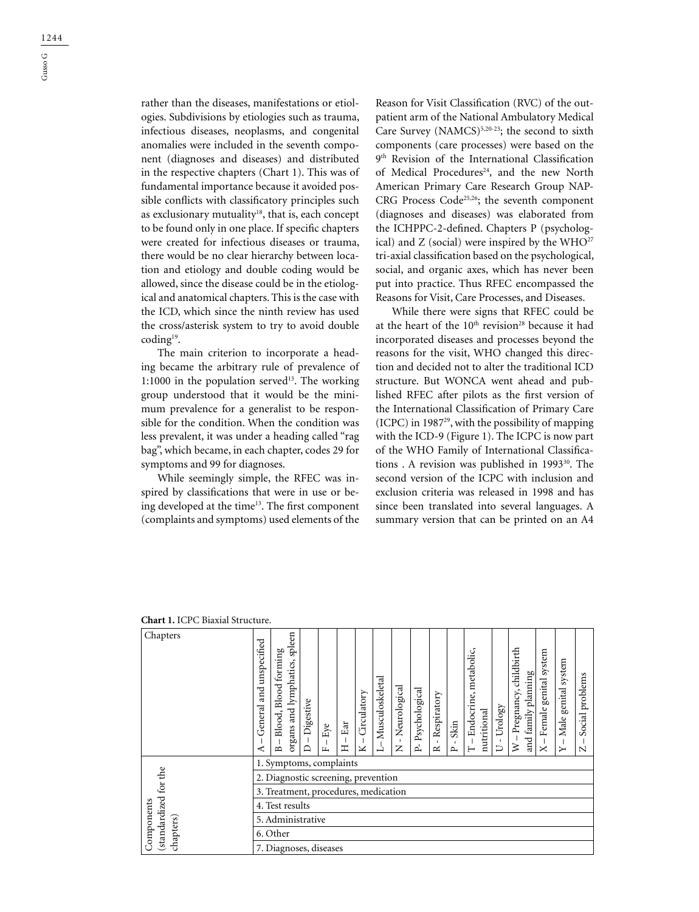1244

rather than the diseases, manifestations or etiologies. Subdivisions by etiologies such as trauma, infectious diseases, neoplasms, and congenital anomalies were included in the seventh component (diagnoses and diseases) and distributed in the respective chapters (Chart 1). This was of fundamental importance because it avoided possible conflicts with classificatory principles such as exclusionary mutuality<sup>18</sup>, that is, each concept to be found only in one place. If specific chapters were created for infectious diseases or trauma, there would be no clear hierarchy between location and etiology and double coding would be allowed, since the disease could be in the etiological and anatomical chapters. This is the case with the ICD, which since the ninth review has used the cross/asterisk system to try to avoid double coding19.

The main criterion to incorporate a heading became the arbitrary rule of prevalence of 1:1000 in the population served $13$ . The working group understood that it would be the minimum prevalence for a generalist to be responsible for the condition. When the condition was less prevalent, it was under a heading called "rag bag", which became, in each chapter, codes 29 for symptoms and 99 for diagnoses.

While seemingly simple, the RFEC was inspired by classifications that were in use or being developed at the time<sup>13</sup>. The first component (complaints and symptoms) used elements of the Reason for Visit Classification (RVC) of the outpatient arm of the National Ambulatory Medical Care Survey (NAMCS) $5,20-23$ ; the second to sixth components (care processes) were based on the 9th Revision of the International Classification of Medical Procedures<sup>24</sup>, and the new North American Primary Care Research Group NAP-CRG Process Code<sup>25,26</sup>; the seventh component (diagnoses and diseases) was elaborated from the ICHPPC-2-defined. Chapters P (psychological) and  $Z$  (social) were inspired by the WHO<sup>27</sup> tri-axial classification based on the psychological, social, and organic axes, which has never been put into practice. Thus RFEC encompassed the Reasons for Visit, Care Processes, and Diseases.

While there were signs that RFEC could be at the heart of the 10<sup>th</sup> revision<sup>28</sup> because it had incorporated diseases and processes beyond the reasons for the visit, WHO changed this direction and decided not to alter the traditional ICD structure. But WONCA went ahead and published RFEC after pilots as the first version of the International Classification of Primary Care (ICPC) in 198729, with the possibility of mapping with the ICD-9 (Figure 1). The ICPC is now part of the WHO Family of International Classifications . A revision was published in 1993<sup>30</sup>. The second version of the ICPC with inclusion and exclusion criteria was released in 1998 and has since been translated into several languages. A summary version that can be printed on an A4

| Chapters                                        | unspecified<br>and<br>General                                                                                                                                                                                                                         | spleen<br>forming<br>organs and lymphatics,<br>Blood<br>Blood, | Digestive | Eye | Ear | Circulatory | Musculoskeletal | Neurological<br>- 11 | Psychological | Respiratory<br>-1 | Skin | - Endocrine, metabolic | nutritional | Urology<br>л. | childbirth<br>Pregnancy, | family planning<br>and | system<br>genital<br>Female | system<br>genital<br>Male | problems<br>Social |
|-------------------------------------------------|-------------------------------------------------------------------------------------------------------------------------------------------------------------------------------------------------------------------------------------------------------|----------------------------------------------------------------|-----------|-----|-----|-------------|-----------------|----------------------|---------------|-------------------|------|------------------------|-------------|---------------|--------------------------|------------------------|-----------------------------|---------------------------|--------------------|
| standardized for the<br>Components<br>chapters) | ≽<br>ച്<br>$\mathsf{z}$<br>Ξ<br>$\overline{\mathbf{M}}$<br>$\vdash$<br>$\times$<br>≏<br>⊃<br>⋖<br>$\mathbb{N}$<br>$\sim$<br>$\rightarrow$<br>$\mathbf{r}$<br>$\sim$<br>$\mathbf{H}$<br>1. Symptoms, complaints<br>2. Diagnostic screening, prevention |                                                                |           |     |     |             |                 |                      |               |                   |      |                        |             |               |                          |                        |                             |                           |                    |
|                                                 | 3. Treatment, procedures, medication                                                                                                                                                                                                                  |                                                                |           |     |     |             |                 |                      |               |                   |      |                        |             |               |                          |                        |                             |                           |                    |
|                                                 | 4. Test results                                                                                                                                                                                                                                       |                                                                |           |     |     |             |                 |                      |               |                   |      |                        |             |               |                          |                        |                             |                           |                    |
|                                                 | 5. Administrative                                                                                                                                                                                                                                     |                                                                |           |     |     |             |                 |                      |               |                   |      |                        |             |               |                          |                        |                             |                           |                    |
|                                                 | 6. Other                                                                                                                                                                                                                                              |                                                                |           |     |     |             |                 |                      |               |                   |      |                        |             |               |                          |                        |                             |                           |                    |
|                                                 |                                                                                                                                                                                                                                                       | 7. Diagnoses, diseases                                         |           |     |     |             |                 |                      |               |                   |      |                        |             |               |                          |                        |                             |                           |                    |

**Chart 1.** ICPC Biaxial Structure.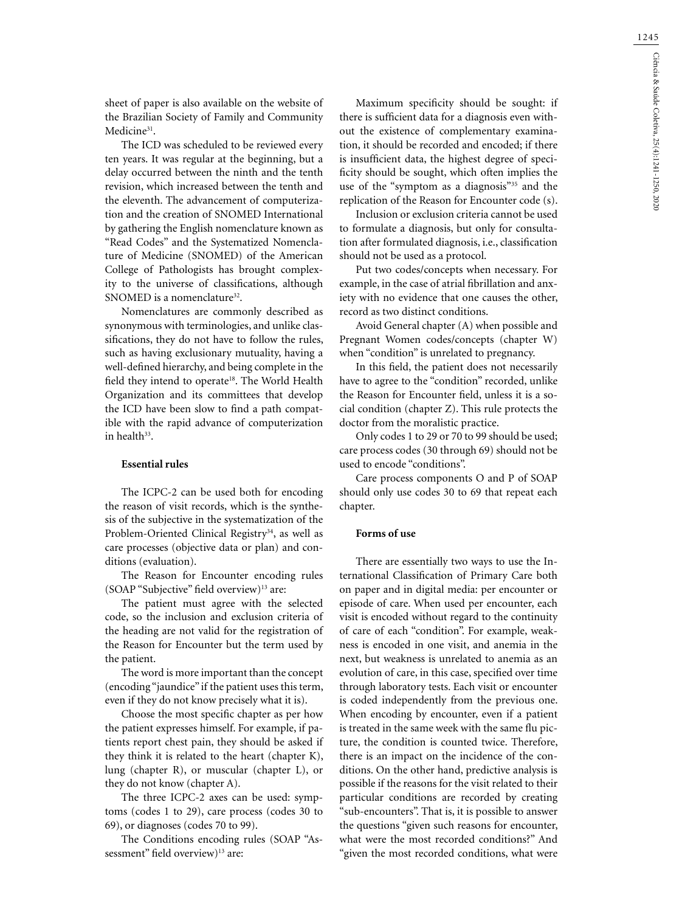sheet of paper is also available on the website of the Brazilian Society of Family and Community Medicine<sup>31</sup>.

The ICD was scheduled to be reviewed every ten years. It was regular at the beginning, but a delay occurred between the ninth and the tenth revision, which increased between the tenth and the eleventh. The advancement of computerization and the creation of SNOMED International by gathering the English nomenclature known as "Read Codes" and the Systematized Nomenclature of Medicine (SNOMED) of the American College of Pathologists has brought complexity to the universe of classifications, although SNOMED is a nomenclature<sup>32</sup>.

Nomenclatures are commonly described as synonymous with terminologies, and unlike classifications, they do not have to follow the rules, such as having exclusionary mutuality, having a well-defined hierarchy, and being complete in the field they intend to operate<sup>18</sup>. The World Health Organization and its committees that develop the ICD have been slow to find a path compatible with the rapid advance of computerization in health<sup>33</sup>.

## **Essential rules**

The ICPC-2 can be used both for encoding the reason of visit records, which is the synthesis of the subjective in the systematization of the Problem-Oriented Clinical Registry<sup>34</sup>, as well as care processes (objective data or plan) and conditions (evaluation).

The Reason for Encounter encoding rules  $(SOAP "Subjective" field overview<sup>13</sup> are:$ 

The patient must agree with the selected code, so the inclusion and exclusion criteria of the heading are not valid for the registration of the Reason for Encounter but the term used by the patient.

The word is more important than the concept (encoding "jaundice" if the patient uses this term, even if they do not know precisely what it is).

Choose the most specific chapter as per how the patient expresses himself. For example, if patients report chest pain, they should be asked if they think it is related to the heart (chapter K), lung (chapter R), or muscular (chapter L), or they do not know (chapter A).

The three ICPC-2 axes can be used: symptoms (codes 1 to 29), care process (codes 30 to 69), or diagnoses (codes 70 to 99).

The Conditions encoding rules (SOAP "Assessment" field overview)<sup>13</sup> are:

Maximum specificity should be sought: if there is sufficient data for a diagnosis even without the existence of complementary examination, it should be recorded and encoded; if there is insufficient data, the highest degree of specificity should be sought, which often implies the use of the "symptom as a diagnosis"<sup>35</sup> and the replication of the Reason for Encounter code (s).

Inclusion or exclusion criteria cannot be used to formulate a diagnosis, but only for consultation after formulated diagnosis, i.e., classification should not be used as a protocol.

Put two codes/concepts when necessary. For example, in the case of atrial fibrillation and anxiety with no evidence that one causes the other, record as two distinct conditions.

Avoid General chapter (A) when possible and Pregnant Women codes/concepts (chapter W) when "condition" is unrelated to pregnancy.

In this field, the patient does not necessarily have to agree to the "condition" recorded, unlike the Reason for Encounter field, unless it is a social condition (chapter Z). This rule protects the doctor from the moralistic practice.

Only codes 1 to 29 or 70 to 99 should be used; care process codes (30 through 69) should not be used to encode "conditions".

Care process components O and P of SOAP should only use codes 30 to 69 that repeat each chapter.

### **Forms of use**

There are essentially two ways to use the International Classification of Primary Care both on paper and in digital media: per encounter or episode of care. When used per encounter, each visit is encoded without regard to the continuity of care of each "condition". For example, weakness is encoded in one visit, and anemia in the next, but weakness is unrelated to anemia as an evolution of care, in this case, specified over time through laboratory tests. Each visit or encounter is coded independently from the previous one. When encoding by encounter, even if a patient is treated in the same week with the same flu picture, the condition is counted twice. Therefore, there is an impact on the incidence of the conditions. On the other hand, predictive analysis is possible if the reasons for the visit related to their particular conditions are recorded by creating "sub-encounters". That is, it is possible to answer the questions "given such reasons for encounter, what were the most recorded conditions?" And "given the most recorded conditions, what were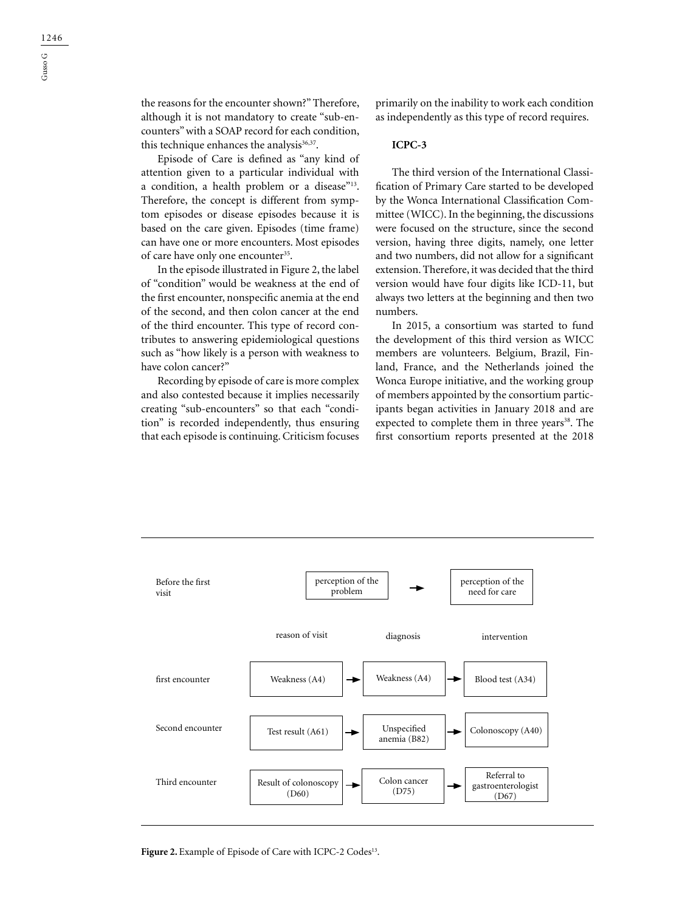the reasons for the encounter shown?" Therefore, although it is not mandatory to create "sub-encounters" with a SOAP record for each condition, this technique enhances the analysis $36,37$ .

Episode of Care is defined as "any kind of attention given to a particular individual with a condition, a health problem or a disease"<sup>13</sup>. Therefore, the concept is different from symptom episodes or disease episodes because it is based on the care given. Episodes (time frame) can have one or more encounters. Most episodes of care have only one encounter<sup>35</sup>.

In the episode illustrated in Figure 2, the label of "condition" would be weakness at the end of the first encounter, nonspecific anemia at the end of the second, and then colon cancer at the end of the third encounter. This type of record contributes to answering epidemiological questions such as "how likely is a person with weakness to have colon cancer?"

Recording by episode of care is more complex and also contested because it implies necessarily creating "sub-encounters" so that each "condition" is recorded independently, thus ensuring that each episode is continuing. Criticism focuses

primarily on the inability to work each condition as independently as this type of record requires.

## **ICPC-3**

The third version of the International Classification of Primary Care started to be developed by the Wonca International Classification Committee (WICC). In the beginning, the discussions were focused on the structure, since the second version, having three digits, namely, one letter and two numbers, did not allow for a significant extension. Therefore, it was decided that the third version would have four digits like ICD-11, but always two letters at the beginning and then two numbers.

In 2015, a consortium was started to fund the development of this third version as WICC members are volunteers. Belgium, Brazil, Finland, France, and the Netherlands joined the Wonca Europe initiative, and the working group of members appointed by the consortium participants began activities in January 2018 and are expected to complete them in three years<sup>38</sup>. The first consortium reports presented at the 2018



Figure 2. Example of Episode of Care with ICPC-2 Codes<sup>13</sup>.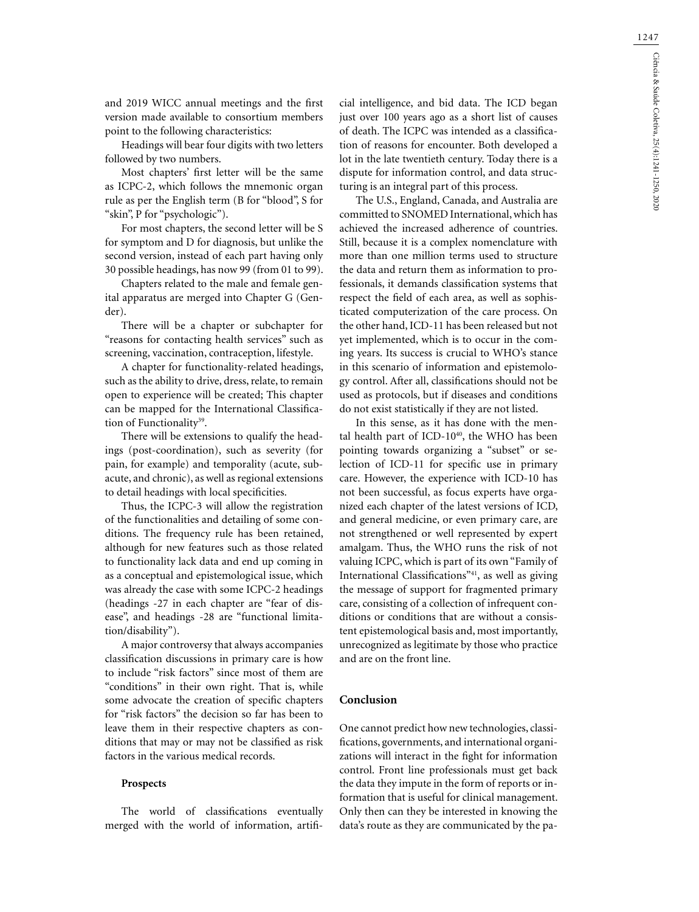and 2019 WICC annual meetings and the first version made available to consortium members point to the following characteristics:

Headings will bear four digits with two letters followed by two numbers.

Most chapters' first letter will be the same as ICPC-2, which follows the mnemonic organ rule as per the English term (B for "blood", S for "skin", P for "psychologic").

For most chapters, the second letter will be S for symptom and D for diagnosis, but unlike the second version, instead of each part having only 30 possible headings, has now 99 (from 01 to 99).

Chapters related to the male and female genital apparatus are merged into Chapter G (Gender).

There will be a chapter or subchapter for "reasons for contacting health services" such as screening, vaccination, contraception, lifestyle.

A chapter for functionality-related headings, such as the ability to drive, dress, relate, to remain open to experience will be created; This chapter can be mapped for the International Classification of Functionality<sup>39</sup>.

There will be extensions to qualify the headings (post-coordination), such as severity (for pain, for example) and temporality (acute, subacute, and chronic), as well as regional extensions to detail headings with local specificities.

Thus, the ICPC-3 will allow the registration of the functionalities and detailing of some conditions. The frequency rule has been retained, although for new features such as those related to functionality lack data and end up coming in as a conceptual and epistemological issue, which was already the case with some ICPC-2 headings (headings -27 in each chapter are "fear of disease", and headings -28 are "functional limitation/disability").

A major controversy that always accompanies classification discussions in primary care is how to include "risk factors" since most of them are "conditions" in their own right. That is, while some advocate the creation of specific chapters for "risk factors" the decision so far has been to leave them in their respective chapters as conditions that may or may not be classified as risk factors in the various medical records.

#### **Prospects**

The world of classifications eventually merged with the world of information, artifi-

cial intelligence, and bid data. The ICD began just over 100 years ago as a short list of causes of death. The ICPC was intended as a classification of reasons for encounter. Both developed a lot in the late twentieth century. Today there is a dispute for information control, and data structuring is an integral part of this process.

The U.S., England, Canada, and Australia are committed to SNOMED International, which has achieved the increased adherence of countries. Still, because it is a complex nomenclature with more than one million terms used to structure the data and return them as information to professionals, it demands classification systems that respect the field of each area, as well as sophisticated computerization of the care process. On the other hand, ICD-11 has been released but not yet implemented, which is to occur in the coming years. Its success is crucial to WHO's stance in this scenario of information and epistemology control. After all, classifications should not be used as protocols, but if diseases and conditions do not exist statistically if they are not listed.

In this sense, as it has done with the mental health part of ICD-10<sup>40</sup>, the WHO has been pointing towards organizing a "subset" or selection of ICD-11 for specific use in primary care. However, the experience with ICD-10 has not been successful, as focus experts have organized each chapter of the latest versions of ICD, and general medicine, or even primary care, are not strengthened or well represented by expert amalgam. Thus, the WHO runs the risk of not valuing ICPC, which is part of its own "Family of International Classifications"41, as well as giving the message of support for fragmented primary care, consisting of a collection of infrequent conditions or conditions that are without a consistent epistemological basis and, most importantly, unrecognized as legitimate by those who practice and are on the front line.

#### **Conclusion**

One cannot predict how new technologies, classifications, governments, and international organizations will interact in the fight for information control. Front line professionals must get back the data they impute in the form of reports or information that is useful for clinical management. Only then can they be interested in knowing the data's route as they are communicated by the pa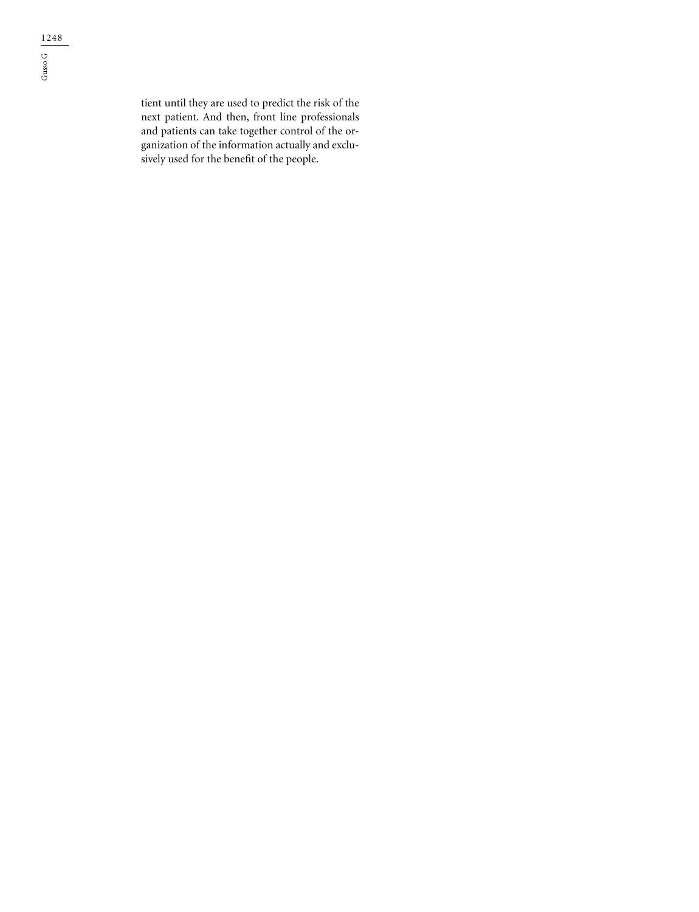tient until they are used to predict the risk of the next patient. And then, front line professionals and patients can take together control of the organization of the information actually and exclusively used for the benefit of the people.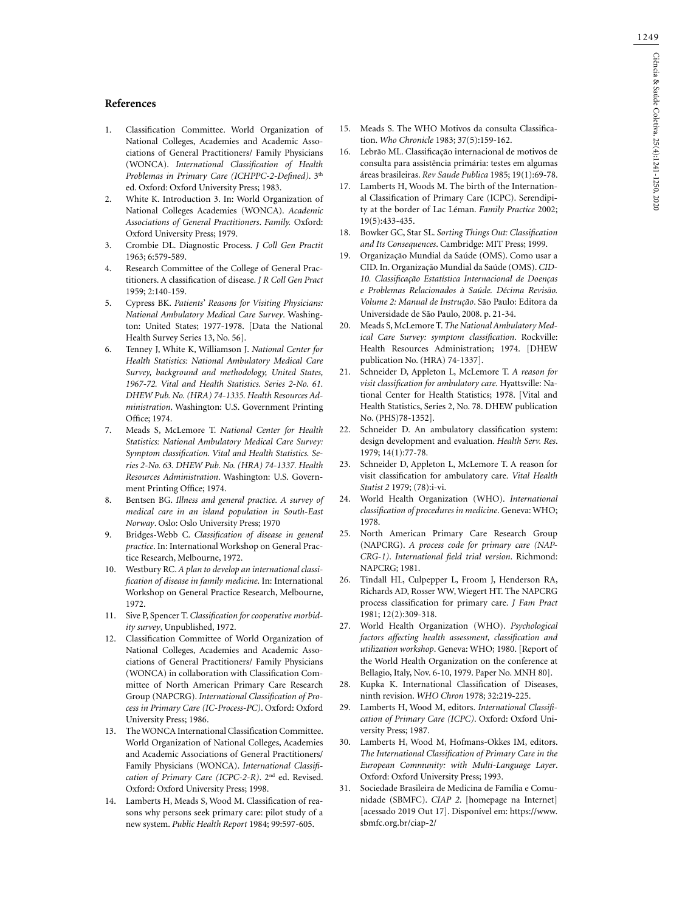#### **References**

- 1. Classification Committee. World Organization of National Colleges, Academies and Academic Associations of General Practitioners/ Family Physicians (WONCA). *International Classification of Health Problemas in Primary Care (ICHPPC-2-Defined)*. 3th ed. Oxford: Oxford University Press; 1983.
- 2. White K. Introduction 3. In: World Organization of National Colleges Academies (WONCA). *Academic Associations of General Practitioners*. *Family.* Oxford: Oxford University Press; 1979.
- 3. Crombie DL. Diagnostic Process. *J Coll Gen Practit* 1963; 6:579-589.
- 4. Research Committee of the College of General Practitioners. A classification of disease. *J R Coll Gen Pract* 1959; 2:140-159.
- 5. Cypress BK. *Patients' Reasons for Visiting Physicians: National Ambulatory Medical Care Survey*. Washington: United States; 1977-1978. [Data the National Health Survey Series 13, No. 56].
- 6. Tenney J, White K, Williamson J. *National Center for Health Statistics: National Ambulatory Medical Care Survey, background and methodology, United States, 1967-72. Vital and Health Statistics. Series 2-No. 61. DHEW Pub. No. (HRA) 74-1335. Health Resources Administration*. Washington: U.S. Government Printing Office; 1974.
- 7. Meads S, McLemore T. *National Center for Health Statistics: National Ambulatory Medical Care Survey: Symptom classification. Vital and Health Statistics. Series 2-No. 63. DHEW Pub. No. (HRA) 74-1337. Health Resources Administration*. Washington: U.S. Government Printing Office; 1974.
- 8. Bentsen BG. *Illness and general practice. A survey of medical care in an island population in South-East Norway*. Oslo: Oslo University Press; 1970
- 9. Bridges-Webb C. *Classification of disease in general practice*. In: International Workshop on General Practice Research, Melbourne, 1972.
- 10. Westbury RC. *A plan to develop an international classification of disease in family medicine*. In: International Workshop on General Practice Research, Melbourne, 1972.
- 11. Sive P, Spencer T. *Classification for cooperative morbidity survey*, Unpublished, 1972.
- 12. Classification Committee of World Organization of National Colleges, Academies and Academic Associations of General Practitioners/ Family Physicians (WONCA) in collaboration with Classification Committee of North American Primary Care Research Group (NAPCRG). *International Classification of Process in Primary Care (IC-Process-PC)*. Oxford: Oxford University Press; 1986.
- 13. The WONCA International Classification Committee. World Organization of National Colleges, Academies and Academic Associations of General Practitioners/ Family Physicians (WONCA). *International Classification of Primary Care (ICPC-2-R)*. 2nd ed. Revised. Oxford: Oxford University Press; 1998.
- 14. Lamberts H, Meads S, Wood M. Classification of reasons why persons seek primary care: pilot study of a new system. *Public Health Report* 1984; 99:597-605.
- 15. Meads S. The WHO Motivos da consulta Classification. *Who Chronicle* 1983; 37(5):159-162.
- 16. Lebrão ML. Classificação internacional de motivos de consulta para assistência primária: testes em algumas áreas brasileiras. *Rev Saude Publica* 1985; 19(1):69-78.
- 17. Lamberts H, Woods M. The birth of the International Classification of Primary Care (ICPC). Serendipity at the border of Lac Léman. *Family Practice* 2002; 19(5):433-435.
- 18. Bowker GC, Star SL. *Sorting Things Out: Classification and Its Consequences*. Cambridge: MIT Press; 1999.
- 19. Organização Mundial da Saúde (OMS). Como usar a CID. In. Organização Mundial da Saúde (OMS). *CID-10. Classificação Estatística Internacional de Doenças e Problemas Relacionados à Saúde. Décima Revisão. Volume 2: Manual de Instrução*. São Paulo: Editora da Universidade de São Paulo, 2008. p. 21-34.
- 20. Meads S, McLemore T. *The National Ambulatory Medical Care Survey: symptom classification*. Rockville: Health Resources Administration; 1974. [DHEW publication No. (HRA) 74-1337].
- 21. Schneider D, Appleton L, McLemore T. *A reason for visit classification for ambulatory care*. Hyattsville: National Center for Health Statistics; 1978. [Vital and Health Statistics, Series 2, No. 78. DHEW publication No. (PHS)78-1352].
- 22. Schneider D. An ambulatory classification system: design development and evaluation. *Health Serv. Res*. 1979; 14(1):77-78.
- 23. Schneider D, Appleton L, McLemore T. A reason for visit classification for ambulatory care. *Vital Health Statist 2* 1979; (78):i-vi.
- 24. World Health Organization (WHO). *International classification of procedures in medicine*. Geneva: WHO; 1978.
- 25. North American Primary Care Research Group (NAPCRG). *A process code for primary care (NAP-CRG-1)*. *International field trial version*. Richmond: NAPCRG; 1981.
- 26. Tindall HL, Culpepper L, Froom J, Henderson RA, Richards AD, Rosser WW, Wiegert HT. The NAPCRG process classification for primary care. *J Fam Pract* 1981; 12(2):309-318.
- 27. World Health Organization (WHO). *Psychological factors affecting health assessment, classification and utilization workshop*. Geneva: WHO; 1980. [Report of the World Health Organization on the conference at Bellagio, Italy, Nov. 6-10, 1979. Paper No. MNH 80].
- 28. Kupka K. International Classification of Diseases, ninth revision. *WHO Chron* 1978; 32:219-225.
- 29. Lamberts H, Wood M, editors. *International Classification of Primary Care (ICPC)*. Oxford: Oxford University Press; 1987.
- 30. Lamberts H, Wood M, Hofmans-Okkes IM, editors. *The International Classification of Primary Care in the European Community: with Multi-Language Layer*. Oxford: Oxford University Press; 1993.
- 31. Sociedade Brasileira de Medicina de Família e Comunidade (SBMFC). *CIAP 2*. [homepage na Internet] [acessado 2019 Out 17]. Disponível em: https://www. sbmfc.org.br/ciap-2/